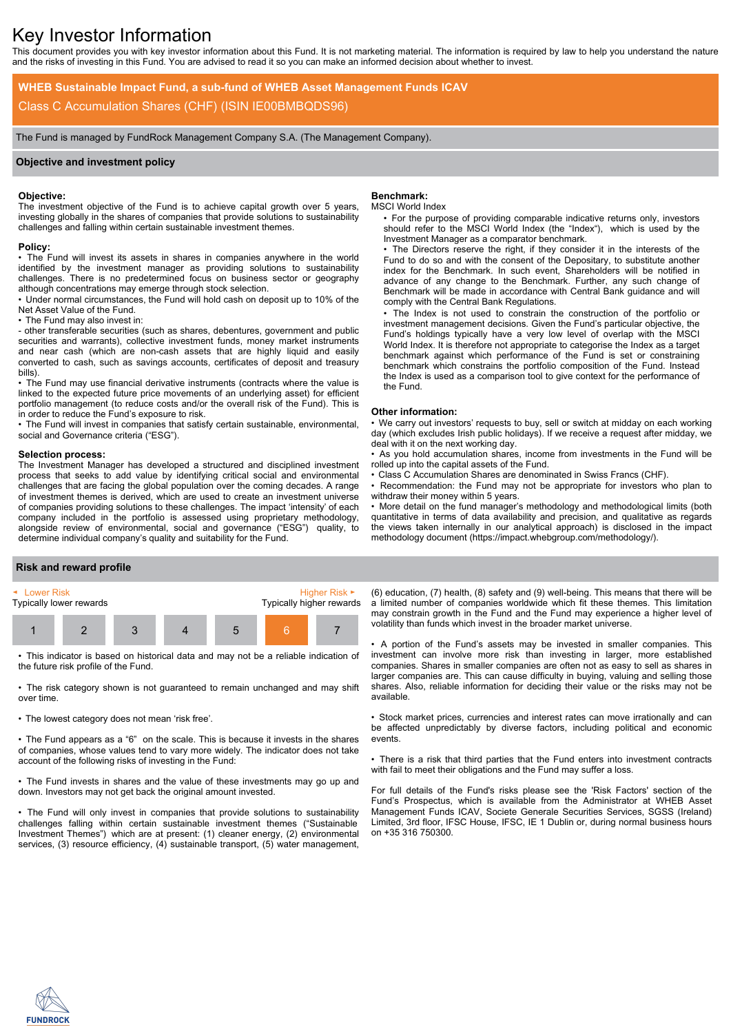# Key Investor Information

This document provides you with key investor information about this Fund. It is not marketing material. The information is required by law to help you understand the nature and the risks of investing in this Fund. You are advised to read it so you can make an informed decision about whether to invest.

**WHEB Sustainable Impact Fund, a sub-fund of WHEB Asset Management Funds ICAV** Class C Accumulation Shares (CHF) (ISIN IE00BMBQDS96)

The Fund is managed by FundRock Management Company S.A. (The Management Company).

## **Objective and investment policy**

### **Objective:**

The investment objective of the Fund is to achieve capital growth over 5 years, investing globally in the shares of companies that provide solutions to sustainability challenges and falling within certain sustainable investment themes.

#### **Policy:**

• The Fund will invest its assets in shares in companies anywhere in the world identified by the investment manager as providing solutions to sustainability challenges. There is no predetermined focus on business sector or geography although concentrations may emerge through stock selection.

• Under normal circumstances, the Fund will hold cash on deposit up to 10% of the Net Asset Value of the Fund.

• The Fund may also invest in:

- other transferable securities (such as shares, debentures, government and public securities and warrants), collective investment funds, money market instruments and near cash (which are non-cash assets that are highly liquid and easily converted to cash, such as savings accounts, certificates of deposit and treasury bills).

• The Fund may use financial derivative instruments (contracts where the value is linked to the expected future price movements of an underlying asset) for efficient portfolio management (to reduce costs and/or the overall risk of the Fund). This is in order to reduce the Fund's exposure to risk.

• The Fund will invest in companies that satisfy certain sustainable, environmental, social and Governance criteria ("ESG").

#### **Selection process:**

The Investment Manager has developed a structured and disciplined investment process that seeks to add value by identifying critical social and environmental challenges that are facing the global population over the coming decades. A range of investment themes is derived, which are used to create an investment universe of companies providing solutions to these challenges. The impact 'intensity' of each company included in the portfolio is assessed using proprietary methodology, alongside review of environmental, social and governance ("ESG") quality, to determine individual company's quality and suitability for the Fund.

# **Benchmark:**

#### MSCI World Index

• For the purpose of providing comparable indicative returns only, investors should refer to the MSCI World Index (the "Index"), which is used by the Investment Manager as a comparator benchmark.

• The Directors reserve the right, if they consider it in the interests of the Fund to do so and with the consent of the Depositary, to substitute another index for the Benchmark. In such event, Shareholders will be notified in advance of any change to the Benchmark. Further, any such change of Benchmark will be made in accordance with Central Bank guidance and will comply with the Central Bank Regulations.

• The Index is not used to constrain the construction of the portfolio or investment management decisions. Given the Fund's particular objective, the Fund's holdings typically have a very low level of overlap with the MSCI World Index. It is therefore not appropriate to categorise the Index as a target benchmark against which performance of the Fund is set or constraining benchmark which constrains the portfolio composition of the Fund. Instead the Index is used as a comparison tool to give context for the performance of the Fund.

#### **Other information:**

• We carry out investors' requests to buy, sell or switch at midday on each working day (which excludes Irish public holidays). If we receive a request after midday, we deal with it on the next working day.

• As you hold accumulation shares, income from investments in the Fund will be rolled up into the capital assets of the Fund.

• Class C Accumulation Shares are denominated in Swiss Francs (CHF).

Recommendation: the Fund may not be appropriate for investors who plan to withdraw their money within 5 years.

• More detail on the fund manager's methodology and methodological limits (both quantitative in terms of data availability and precision, and qualitative as regards the views taken internally in our analytical approach) is disclosed in the impact methodology document (https://impact.whebgroup.com/methodology/).

#### **Risk and reward profile**



• This indicator is based on historical data and may not be a reliable indication of the future risk profile of the Fund.

• The risk category shown is not guaranteed to remain unchanged and may shift over time.

• The lowest category does not mean 'risk free'.

• The Fund appears as a "6" on the scale. This is because it invests in the shares of companies, whose values tend to vary more widely. The indicator does not take account of the following risks of investing in the Fund:

• The Fund invests in shares and the value of these investments may go up and down. Investors may not get back the original amount invested.

• The Fund will only invest in companies that provide solutions to sustainability challenges falling within certain sustainable investment themes ("Sustainable Investment Themes") which are at present: (1) cleaner energy, (2) environmental services, (3) resource efficiency, (4) sustainable transport, (5) water management,

(6) education, (7) health, (8) safety and (9) well-being. This means that there will be a limited number of companies worldwide which fit these themes. This limitation may constrain growth in the Fund and the Fund may experience a higher level of volatility than funds which invest in the broader market universe.

• A portion of the Fund's assets may be invested in smaller companies. This investment can involve more risk than investing in larger, more established companies. Shares in smaller companies are often not as easy to sell as shares in larger companies are. This can cause difficulty in buying, valuing and selling those shares. Also, reliable information for deciding their value or the risks may not be available.

• Stock market prices, currencies and interest rates can move irrationally and can be affected unpredictably by diverse factors, including political and economic events.

• There is a risk that third parties that the Fund enters into investment contracts with fail to meet their obligations and the Fund may suffer a loss.

For full details of the Fund's risks please see the 'Risk Factors' section of the Fund's Prospectus, which is available from the Administrator at WHEB Asset Management Funds ICAV, Societe Generale Securities Services, SGSS (Ireland) Limited, 3rd floor, IFSC House, IFSC, IE 1 Dublin or, during normal business hours on +35 316 750300.